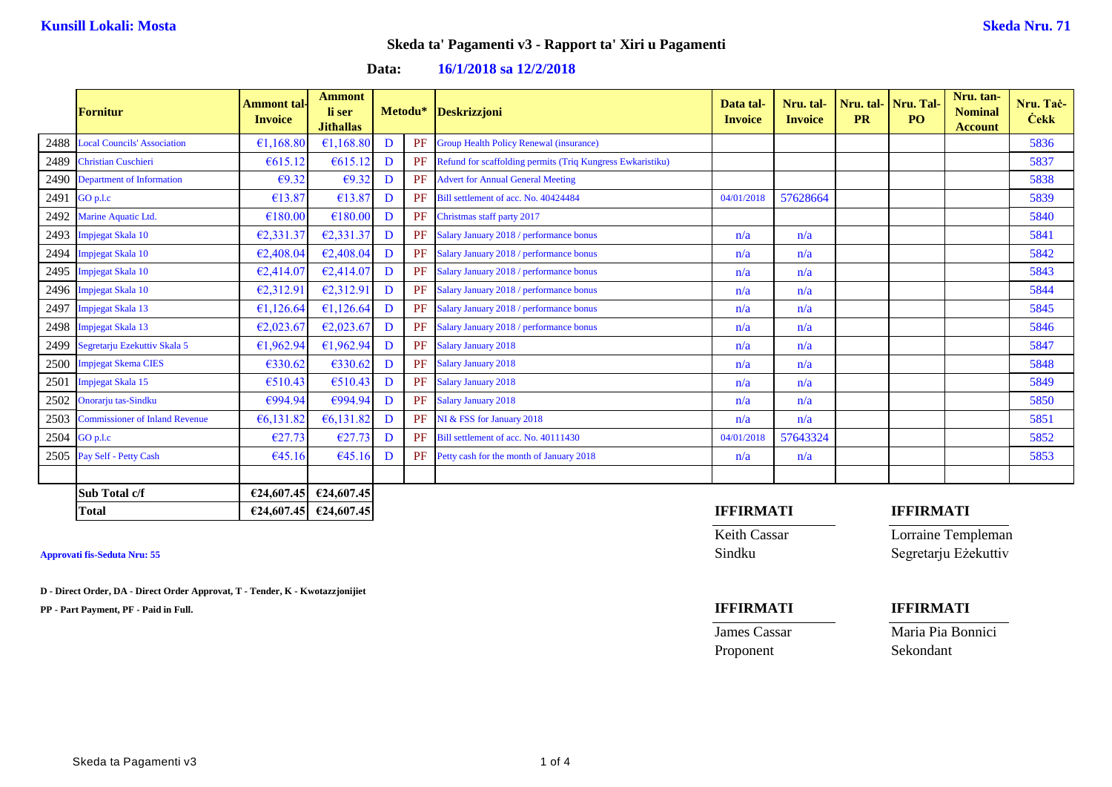**Data: 16/1/2018 sa 12/2/2018**

|      | <b>Fornitur</b>                     | Ammont tal·<br><b>Invoice</b> | <b>Ammont</b><br>li ser<br><b>Jithallas</b> |   | Metodu* | Deskrizzjoni                                               | Data tal-<br><b>Invoice</b> | Nru. tal-<br><b>Invoice</b> | <b>PR</b> | Nru. tal-   Nru. Tal-<br>PO. | Nru. tan-<br><b>Nominal</b><br><b>Account</b> | Nru. Tac-<br><b>Cekk</b> |
|------|-------------------------------------|-------------------------------|---------------------------------------------|---|---------|------------------------------------------------------------|-----------------------------|-----------------------------|-----------|------------------------------|-----------------------------------------------|--------------------------|
|      | 2488 Local Councils' Association    | €1,168.80                     | €1,168.80                                   | D |         | <b>PF</b> Group Health Policy Renewal (insurance)          |                             |                             |           |                              |                                               | 5836                     |
|      | 2489 Christian Cuschieri            | € $615.12$                    | €615.12                                     | D | PF      | Refund for scaffolding permits (Triq Kungress Ewkaristiku) |                             |                             |           |                              |                                               | 5837                     |
|      | 2490 Department of Information      | $\epsilon$ 9.32               | €9.32                                       | D | PF      | <b>Advert for Annual General Meeting</b>                   |                             |                             |           |                              |                                               | 5838                     |
|      | 2491 GO p.l.c                       | €13.87                        | €13.87                                      | D | PF      | Bill settlement of acc. No. 40424484                       | 04/01/2018                  | 57628664                    |           |                              |                                               | 5839                     |
|      | 2492 Marine Aquatic Ltd.            | €180.00                       | €180.00                                     | D | PF      | Christmas staff party 2017                                 |                             |                             |           |                              |                                               | 5840                     |
|      | 2493 Impjegat Skala 10              | €2,331.37                     | E2,331.37                                   | D | PF      | Salary January 2018 / performance bonus                    | n/a                         | n/a                         |           |                              |                                               | 5841                     |
|      | 2494 Impjegat Skala 10              | €2,408.04                     | E2,408.04                                   | D |         | PF Salary January 2018 / performance bonus                 | n/a                         | n/a                         |           |                              |                                               | 5842                     |
|      | 2495 Impjegat Skala 10              | €2,414.07                     | E2,414.07                                   | D |         | PF Salary January 2018 / performance bonus                 | n/a                         | n/a                         |           |                              |                                               | 5843                     |
|      | 2496 Impjegat Skala 10              | €2,312.91                     | €2,312.91                                   | D |         | PF Salary January 2018 / performance bonus                 | n/a                         | n/a                         |           |                              |                                               | 5844                     |
|      | 2497 Impjegat Skala 13              | €1,126.64                     | €1,126.64                                   | D |         | PF Salary January 2018 / performance bonus                 | n/a                         | n/a                         |           |                              |                                               | 5845                     |
|      | 2498 Impjegat Skala 13              | €2,023.67                     | €2,023.67                                   | D | PF      | Salary January 2018 / performance bonus                    | n/a                         | n/a                         |           |                              |                                               | 5846                     |
|      | 2499 Segretarju Ezekuttiv Skala 5   | €1,962.94                     | €1,962.94                                   | D | PF      | <b>Salary January 2018</b>                                 | n/a                         | n/a                         |           |                              |                                               | 5847                     |
|      | 2500 Impjegat Skema CIES            | €330.62                       | €330.62                                     | D |         | PF Salary January 2018                                     | n/a                         | n/a                         |           |                              |                                               | 5848                     |
| 2501 | Impjegat Skala 15                   | €510.43                       | €510.43                                     | D |         | PF Salary January 2018                                     | n/a                         | n/a                         |           |                              |                                               | 5849                     |
|      | 2502 Onorarju tas-Sindku            | €994.94                       | €994.94                                     | D | PF      | <b>Salary January 2018</b>                                 | n/a                         | n/a                         |           |                              |                                               | 5850                     |
|      | 2503 Commissioner of Inland Revenue | €6,131.82                     | €6,131.82                                   | D | PF      | NI & FSS for January 2018                                  | n/a                         | n/a                         |           |                              |                                               | 5851                     |
|      | $2504$ GO p.l.c                     | €27.73                        | €27.73                                      | D | PF      | Bill settlement of acc. No. 40111430                       | 04/01/2018                  | 57643324                    |           |                              |                                               | 5852                     |
|      | 2505 Pay Self - Petty Cash          | €45.16                        | €45.16                                      | D | PF      | Petty cash for the month of January 2018                   | n/a                         | n/a                         |           |                              |                                               | 5853                     |
|      |                                     |                               |                                             |   |         |                                                            |                             |                             |           |                              |                                               |                          |
|      | Sub Total c/f                       |                               | €24,607.45 $\big $ €24,607.45               |   |         |                                                            |                             |                             |           |                              |                                               |                          |

**D - Direct Order, DA - Direct Order Approvat, T - Tender, K - Kwotazzjonijiet**

**PP - Part Payment, PF - Paid in Full. IFFIRMATI IFFIRMATI**

### **Total €24,607.45 €24,607.45 IFFIRMATI IFFIRMATI**

Keith Cassar Lorraine Templeman **Approvati fis-Seduta Nru: 55** Sindku Segretarju Eżekuttiv

Proponent Sekondant

James Cassar Maria Pia Bonnici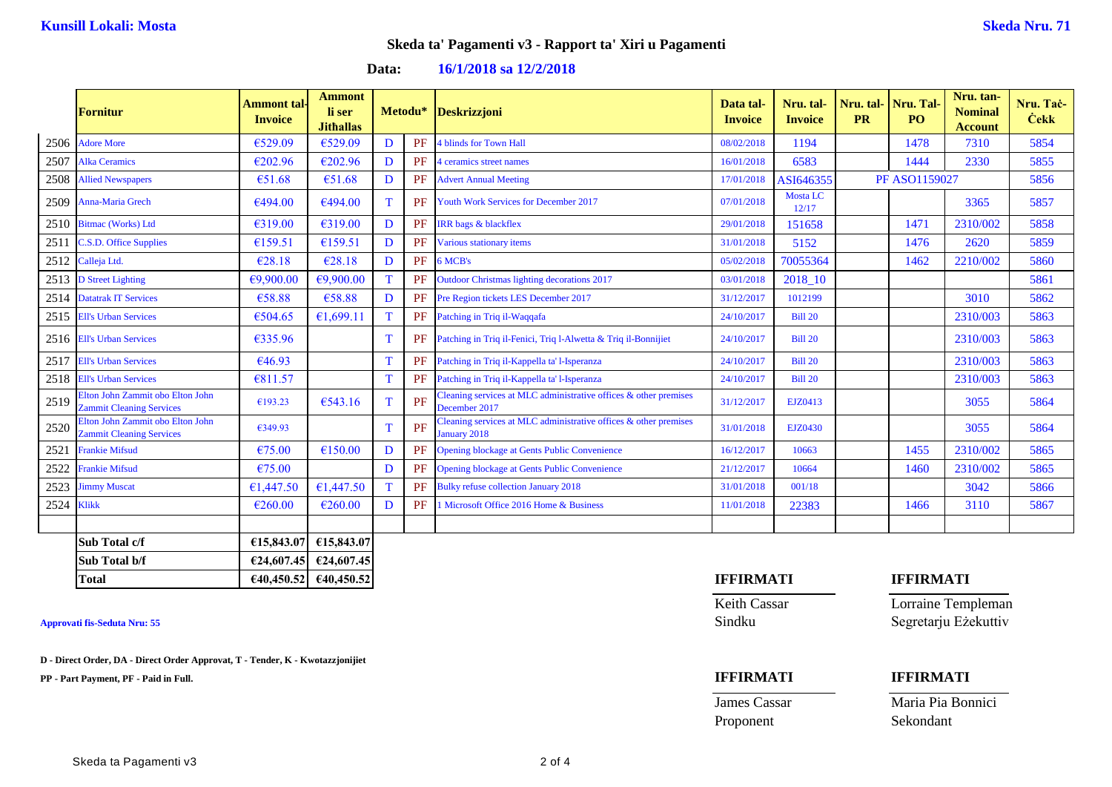| Data: | 16/1/2018 sa 12/2/2018 |  |
|-------|------------------------|--|
|-------|------------------------|--|

|            | <b>Fornitur</b>                                                     | <b>Ammont</b> tal<br><b>Invoice</b> | <b>Ammont</b><br>li ser<br><b>Jithallas</b> |    | Metodu*   | Deskrizzjoni                                                                     | Data tal-<br><b>Invoice</b> | Nru. tal-<br><b>Invoice</b> | Nru. tal-Nru. Tal<br><b>PR</b> | P <sub>O</sub>       | Nru. tan-<br><b>Nominal</b><br><b>Account</b> | Nru. Tač-<br><b>Cekk</b> |
|------------|---------------------------------------------------------------------|-------------------------------------|---------------------------------------------|----|-----------|----------------------------------------------------------------------------------|-----------------------------|-----------------------------|--------------------------------|----------------------|-----------------------------------------------|--------------------------|
|            | 2506 Adore More                                                     | €529.09                             | €529.09                                     | D  | PF        | <b>I</b> blinds for Town Hall                                                    | 08/02/2018                  | 1194                        |                                | 1478                 | 7310                                          | 5854                     |
| 2507       | <b>Alka Ceramics</b>                                                | €202.96                             | €202.96                                     | D  | PF        | 4 ceramics street names                                                          | 16/01/2018                  | 6583                        |                                | 1444                 | 2330                                          | 5855                     |
| 2508       | <b>Allied Newspapers</b>                                            | €51.68                              | €51.68                                      | D  | PF        | <b>Advert Annual Meeting</b>                                                     | 17/01/2018                  | ASI646355                   |                                | <b>PF ASO1159027</b> |                                               | 5856                     |
|            | 2509 Anna-Maria Grech                                               | €494.00                             | €494.00                                     | T. | <b>PF</b> | <b>Youth Work Services for December 2017</b>                                     | 07/01/2018                  | Mosta LC<br>12/17           |                                |                      | 3365                                          | 5857                     |
|            | 2510 Bitmac (Works) Ltd                                             | €319.00                             | €319.00                                     | D  | PF        | <b>IRR</b> bags & blackflex                                                      | 29/01/2018                  | 151658                      |                                | 1471                 | 2310/002                                      | 5858                     |
| 2511       | <b>C.S.D. Office Supplies</b>                                       | €159.51                             | €159.51                                     | D  | PF        | Various stationary items                                                         | 31/01/2018                  | 5152                        |                                | 1476                 | 2620                                          | 5859                     |
|            | 2512 Calleja Ltd.                                                   | €28.18                              | €28.18                                      | D  | PF        | 6 MCB's                                                                          | 05/02/2018                  | 70055364                    |                                | 1462                 | 2210/002                                      | 5860                     |
|            | 2513 D Street Lighting                                              | €9.900.00                           | €9,900.00                                   | T  | PF        | <b>Outdoor Christmas lighting decorations 2017</b>                               | 03/01/2018                  | 2018 10                     |                                |                      |                                               | 5861                     |
|            | 2514 Datatrak IT Services                                           | €58.88                              | €58.88                                      | D  | PF        | Pre Region tickets LES December 2017                                             | 31/12/2017                  | 1012199                     |                                |                      | 3010                                          | 5862                     |
|            | 2515 Ell's Urban Services                                           | €504.65                             | €1,699.11                                   | T. | PF        | Patching in Triq il-Waqqafa                                                      | 24/10/2017                  | <b>Bill 20</b>              |                                |                      | 2310/003                                      | 5863                     |
|            | 2516 Ell's Urban Services                                           | €335.96                             |                                             | T. | <b>PF</b> | Patching in Triq il-Fenici, Triq l-Alwetta & Triq il-Bonnijiet                   | 24/10/2017                  | <b>Bill 20</b>              |                                |                      | 2310/003                                      | 5863                     |
| 2517       | <b>Ell's Urban Services</b>                                         | €46.93                              |                                             | T  | PF        | Patching in Triq il-Kappella ta' l-Isperanza                                     | 24/10/2017                  | <b>Bill 20</b>              |                                |                      | 2310/003                                      | 5863                     |
|            | 2518 Ell's Urban Services                                           | €811.57                             |                                             | T  | PF        | Patching in Triq il-Kappella ta' l-Isperanza                                     | 24/10/2017                  | <b>Bill 20</b>              |                                |                      | 2310/003                                      | 5863                     |
| 2519       | Elton John Zammit obo Elton John<br><b>Zammit Cleaning Services</b> | €193.23                             | €543.16                                     | T. | PF        | leaning services at MLC administrative offices & other premises<br>December 2017 | 31/12/2017                  | EJZ0413                     |                                |                      | 3055                                          | 5864                     |
| 2520       | Elton John Zammit obo Elton John<br><b>Zammit Cleaning Services</b> | €349.93                             |                                             | T. | PF        | leaning services at MLC administrative offices & other premises<br>January 2018  | 31/01/2018                  | <b>EJZ0430</b>              |                                |                      | 3055                                          | 5864                     |
| 2521       | <b>Frankie Mifsud</b>                                               | €75.00                              | €150.00                                     | D  | PF        | <b>Opening blockage at Gents Public Convenience</b>                              | 16/12/2017                  | 10663                       |                                | 1455                 | 2310/002                                      | 5865                     |
| 2522       | <b>Frankie Mifsud</b>                                               | €75.00                              |                                             | D  | PF        | Opening blockage at Gents Public Convenience                                     | 21/12/2017                  | 10664                       |                                | 1460                 | 2310/002                                      | 5865                     |
| 2523       | <b>Jimmy Muscat</b>                                                 | €1,447.50                           | €1,447.50                                   |    | PF        | <b>Bulky refuse collection January 2018</b>                                      | 31/01/2018                  | 001/18                      |                                |                      | 3042                                          | 5866                     |
| 2524 Klikk |                                                                     | €260.00                             | €260.00                                     | D  | PF        | <b>Microsoft Office 2016 Home &amp; Business</b>                                 | 11/01/2018                  | 22383                       |                                | 1466                 | 3110                                          | 5867                     |
|            |                                                                     |                                     |                                             |    |           |                                                                                  |                             |                             |                                |                      |                                               |                          |
|            | Sub Total c/f                                                       | €15,843.07                          | €15,843.07                                  |    |           |                                                                                  |                             |                             |                                |                      |                                               |                          |
|            | Sub Total b/f                                                       |                                     | €24,607.45 $\big $ €24,607.45               |    |           |                                                                                  |                             |                             |                                |                      |                                               |                          |

**D - Direct Order, DA - Direct Order Approvat, T - Tender, K - Kwotazzjonijiet**

**PP - Part Payment, PF - Paid in Full. IFFIRMATI IFFIRMATI**

# **Total €40,450.52 €40,450.52 IFFIRMATI IFFIRMATI**

**James Cassar Maria Pia Bonnici** Proponent Sekondant

Keith Cassar Lorraine Templeman **Approvati fis-Seduta Nru: 55** Sindku Segretarju Eżekuttiv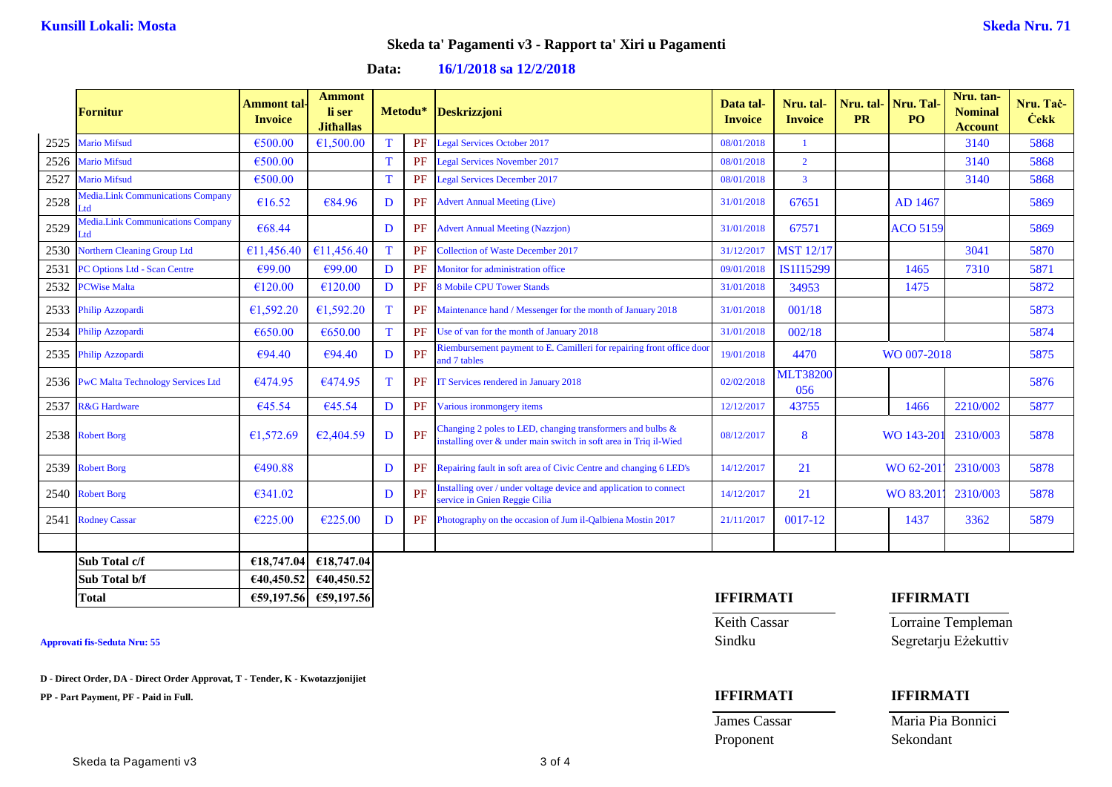|      | Fornitur                                        | <b>Ammont</b> tal-<br><b>Invoice</b> | <b>Ammont</b><br>li ser<br><b>Jithallas</b> |   | Metodu* | <b>Deskrizzjoni</b>                                                                                                               | Data tal-<br><b>Invoice</b> | Nru. tal-<br><b>Invoice</b> | <b>PR</b> | Nru. tal- Nru. Tal<br>PO <sub>1</sub> | Nru. tan-<br><b>Nominal</b><br><b>Account</b> | Nru. Tac-<br><b>Cekk</b> |
|------|-------------------------------------------------|--------------------------------------|---------------------------------------------|---|---------|-----------------------------------------------------------------------------------------------------------------------------------|-----------------------------|-----------------------------|-----------|---------------------------------------|-----------------------------------------------|--------------------------|
| 2525 | <b>Mario Mifsud</b>                             | €500.00                              | €1,500.00                                   |   | PF      | <b>Legal Services October 2017</b>                                                                                                | 08/01/2018                  | $\mathbf{1}$                |           |                                       | 3140                                          | 5868                     |
| 2526 | <b>Mario Mifsud</b>                             | €500.00                              |                                             | T | PF      | <b>Legal Services November 2017</b>                                                                                               | 08/01/2018                  | $\overline{2}$              |           |                                       | 3140                                          | 5868                     |
| 2527 | <b>Mario Mifsud</b>                             | €500.00                              |                                             | T | PF      | <b>Legal Services December 2017</b>                                                                                               | 08/01/2018                  | $\overline{3}$              |           |                                       | 3140                                          | 5868                     |
| 2528 | Media.Link Communications Company<br>Ltd        | €16.52                               | €84.96                                      | D | PF      | <b>Advert Annual Meeting (Live)</b>                                                                                               | 31/01/2018                  | 67651                       |           | AD 1467                               |                                               | 5869                     |
| 2529 | <b>Media.Link Communications Company</b><br>Ltd | €68.44                               |                                             | D | PF      | <b>Advert Annual Meeting (Nazzjon)</b>                                                                                            | 31/01/2018                  | 67571                       |           | <b>ACO 5159</b>                       |                                               | 5869                     |
| 2530 | <b>Northern Cleaning Group Ltd</b>              | €11.456.40                           | €11,456.40                                  | T | PF      | <b>Collection of Waste December 2017</b>                                                                                          | 31/12/2017                  | <b>MST 12/17</b>            |           |                                       | 3041                                          | 5870                     |
| 2531 | <b>PC Options Ltd - Scan Centre</b>             | €99.00                               | €99.00                                      | D | PF      | Monitor for administration office                                                                                                 | 09/01/2018                  | IS1I15299                   |           | 1465                                  | 7310                                          | 5871                     |
| 2532 | <b>PCWise Malta</b>                             | €120.00                              | €120.00                                     | D | PF      | <b>8 Mobile CPU Tower Stands</b>                                                                                                  | 31/01/2018                  | 34953                       |           | 1475                                  |                                               | 5872                     |
|      | 2533 Philip Azzopardi                           | €1,592.20                            | €1,592.20                                   | T | PF      | Maintenance hand / Messenger for the month of January 2018                                                                        | 31/01/2018                  | 001/18                      |           |                                       |                                               | 5873                     |
| 2534 | Philip Azzopardi                                | €650.00                              | €650.00                                     | T | PF      | Use of van for the month of January 2018                                                                                          | 31/01/2018                  | 002/18                      |           |                                       |                                               | 5874                     |
|      | 2535 Philip Azzopardi                           | €94.40                               | €94.40                                      | D | PF      | Riembursement payment to E. Camilleri for repairing front office door<br>and 7 tables                                             | 19/01/2018                  | 4470                        |           | WO 007-2018                           |                                               | 5875                     |
|      | 2536 PwC Malta Technology Services Ltd          | €474.95                              | €474.95                                     | T | PF      | IT Services rendered in January 2018                                                                                              | 02/02/2018                  | <b>MLT38200</b><br>056      |           |                                       |                                               | 5876                     |
| 2537 | <b>R&amp;G</b> Hardware                         | €45.54                               | €45.54                                      | D | PF      | Various ironmongery items                                                                                                         | 12/12/2017                  | 43755                       |           | 1466                                  | 2210/002                                      | 5877                     |
|      | 2538 Robert Borg                                | €1,572.69                            | €2,404.59                                   | D | PF      | Changing 2 poles to LED, changing transformers and bulbs $\&$<br>installing over & under main switch in soft area in Triq il-Wied | 08/12/2017                  | 8                           |           | WO 143-20                             | 2310/003                                      | 5878                     |
|      | 2539 Robert Borg                                | €490.88                              |                                             | D | PF      | Repairing fault in soft area of Civic Centre and changing 6 LED's                                                                 | 14/12/2017                  | 21                          |           | WO 62-201                             | 2310/003                                      | 5878                     |
|      | 2540 Robert Borg                                | €341.02                              |                                             | D | PF      | installing over / under voltage device and application to connect<br>service in Gnien Reggie Cilia                                | 14/12/2017                  | 21                          |           | WO 83.201                             | 2310/003                                      | 5878                     |
|      | 2541 Rodney Cassar                              | €225.00                              | €225.00                                     | D | PF      | Photography on the occasion of Jum il-Qalbiena Mostin 2017                                                                        | 21/11/2017                  | 0017-12                     |           | 1437                                  | 3362                                          | 5879                     |
|      |                                                 |                                      |                                             |   |         |                                                                                                                                   |                             |                             |           |                                       |                                               |                          |
|      | Sub Total c/f                                   | €18,747.04                           | €18,747.04                                  |   |         |                                                                                                                                   |                             |                             |           |                                       |                                               |                          |
|      | Sub Total b/f                                   |                                      | €40,450.52 €40,450.52                       |   |         |                                                                                                                                   |                             |                             |           |                                       |                                               |                          |

**D - Direct Order, DA - Direct Order Approvat, T - Tender, K - Kwotazzjonijiet**

**PP - Part Payment, PF - Paid in Full. IFFIRMATI IFFIRMATI**

# **Total €59,197.56 €59,197.56 IFFIRMATI IFFIRMATI**

Proponent Sekondant

Keith Cassar Lorraine Templeman **Approvati fis-Seduta Nru: 55** Sindku Segretarju Eżekuttiv

**James Cassar Maria Pia Bonnici**